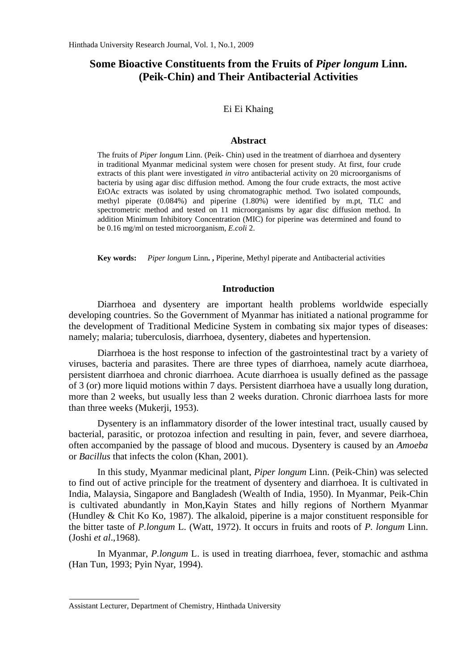# **Some Bioactive Constituents from the Fruits of** *Piper longum* **Linn. (Peik-Chin) and Their Antibacterial Activities**

## Ei Ei Khaing

#### **Abstract**

The fruits of *Piper longum* Linn. (Peik- Chin) used in the treatment of diarrhoea and dysentery in traditional Myanmar medicinal system were chosen for present study. At first, four crude extracts of this plant were investigated *in vitro* antibacterial activity on 20 microorganisms of bacteria by using agar disc diffusion method. Among the four crude extracts, the most active EtOAc extracts was isolated by using chromatographic method. Two isolated compounds, methyl piperate (0.084%) and piperine (1.80%) were identified by m.pt, TLC and spectrometric method and tested on 11 microorganisms by agar disc diffusion method. In addition Minimum Inhibitory Concentration (MIC) for piperine was determined and found to be 0.16 mg/ml on tested microorganism, *E.coli* 2.

**Key words:** *Piper longum* Linn**. ,** Piperine, Methyl piperate and Antibacterial activities

#### **Introduction**

Diarrhoea and dysentery are important health problems worldwide especially developing countries. So the Government of Myanmar has initiated a national programme for the development of Traditional Medicine System in combating six major types of diseases: namely; malaria; tuberculosis, diarrhoea, dysentery, diabetes and hypertension.

Diarrhoea is the host response to infection of the gastrointestinal tract by a variety of viruses, bacteria and parasites. There are three types of diarrhoea, namely acute diarrhoea, persistent diarrhoea and chronic diarrhoea. Acute diarrhoea is usually defined as the passage of 3 (or) more liquid motions within 7 days. Persistent diarrhoea have a usually long duration, more than 2 weeks, but usually less than 2 weeks duration. Chronic diarrhoea lasts for more than three weeks (Mukerji, 1953).

Dysentery is an inflammatory disorder of the lower intestinal tract, usually caused by bacterial, parasitic, or protozoa infection and resulting in pain, fever, and severe diarrhoea, often accompanied by the passage of blood and mucous. Dysentery is caused by an *Amoeba* or *Bacillus* that infects the colon (Khan, 2001).

In this study, Myanmar medicinal plant, *Piper longum* Linn. (Peik-Chin) was selected to find out of active principle for the treatment of dysentery and diarrhoea. It is cultivated in India, Malaysia, Singapore and Bangladesh (Wealth of India, 1950). In Myanmar, Peik-Chin is cultivated abundantly in Mon,Kayin States and hilly regions of Northern Myanmar (Hundley & Chit Ko Ko, 1987). The alkaloid, piperine is a major constituent responsible for the bitter taste of *P.longum* L. (Watt, 1972). It occurs in fruits and roots of *P. longum* Linn. (Joshi *et al*.,1968).

In Myanmar, *P.longum* L. is used in treating diarrhoea, fever, stomachic and asthma (Han Tun, 1993; Pyin Nyar, 1994).

Assistant Lecturer, Department of Chemistry, Hinthada University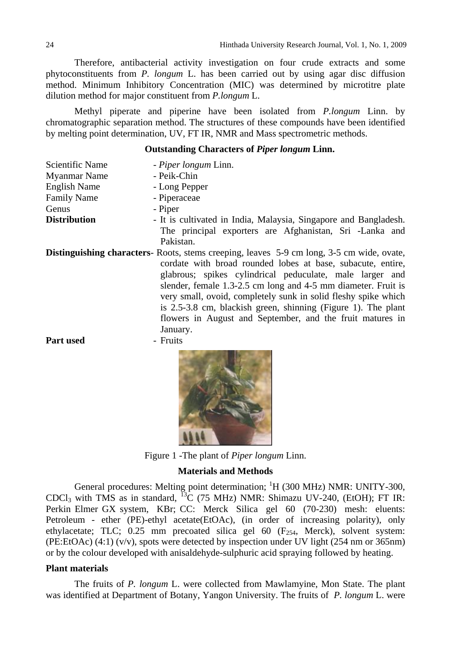Therefore, antibacterial activity investigation on four crude extracts and some phytoconstituents from *P. longum* L. has been carried out by using agar disc diffusion method. Minimum Inhibitory Concentration (MIC) was determined by microtitre plate dilution method for major constituent from *P.longum* L.

Methyl piperate and piperine have been isolated from *P.longum* Linn. by chromatographic separation method. The structures of these compounds have been identified by melting point determination, UV, FT IR, NMR and Mass spectrometric methods.

#### **Outstanding Characters of** *Piper longum* **Linn.**

| Scientific Name                                                                                  | - Piper longum Linn.                                             |  |  |  |  |
|--------------------------------------------------------------------------------------------------|------------------------------------------------------------------|--|--|--|--|
| <b>Myanmar Name</b>                                                                              | - Peik-Chin                                                      |  |  |  |  |
| <b>English Name</b>                                                                              | - Long Pepper                                                    |  |  |  |  |
| <b>Family Name</b>                                                                               | - Piperaceae                                                     |  |  |  |  |
| Genus                                                                                            | - Piper                                                          |  |  |  |  |
| <b>Distribution</b>                                                                              | - It is cultivated in India, Malaysia, Singapore and Bangladesh. |  |  |  |  |
|                                                                                                  | The principal exporters are Afghanistan, Sri -Lanka and          |  |  |  |  |
|                                                                                                  | Pakistan.                                                        |  |  |  |  |
| <b>Distinguishing characters</b> -Roots, stems creeping, leaves 5-9 cm long, 3-5 cm wide, ovate, |                                                                  |  |  |  |  |
|                                                                                                  | cordate with broad rounded lobes at base, subacute, entire,      |  |  |  |  |
|                                                                                                  | glabrous; spikes cylindrical peduculate, male larger and         |  |  |  |  |
|                                                                                                  | slender, female 1.3-2.5 cm long and 4-5 mm diameter. Fruit is    |  |  |  |  |
|                                                                                                  | very small, ovoid, completely sunk in solid fleshy spike which   |  |  |  |  |
|                                                                                                  | is 2.5-3.8 cm, blackish green, shinning (Figure 1). The plant    |  |  |  |  |
|                                                                                                  | flowers in August and September, and the fruit matures in        |  |  |  |  |
|                                                                                                  | January.                                                         |  |  |  |  |
| <b>Part used</b>                                                                                 | - Fruits                                                         |  |  |  |  |



Figure 1 -The plant of *Piper longum* Linn.

### **Materials and Methods**

General procedures: Melting point determination; <sup>1</sup>H (300 MHz) NMR: UNITY-300, CDCl<sub>3</sub> with TMS as in standard, <sup>13</sup>C (75 MHz) NMR: Shimazu UV-240, (EtOH); FT IR: Perkin Elmer GX system, KBr; CC: Merck Silica gel 60 (70-230) mesh: eluents: Petroleum - ether (PE)-ethyl acetate(EtOAc), (in order of increasing polarity), only ethylacetate; TLC;  $0.25$  mm precoated silica gel 60 (F<sub>254</sub>, Merck), solvent system: (PE:EtOAc)  $(4:1)$   $(v/v)$ , spots were detected by inspection under UV light  $(254 \text{ nm or } 365 \text{ nm})$ or by the colour developed with anisaldehyde-sulphuric acid spraying followed by heating.

# **Plant materials**

 The fruits of *P. longum* L. were collected from Mawlamyine, Mon State. The plant was identified at Department of Botany, Yangon University. The fruits of *P. longum* L. were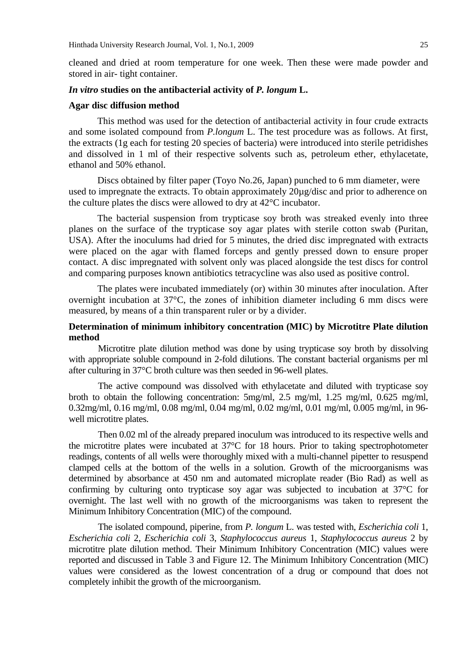cleaned and dried at room temperature for one week. Then these were made powder and stored in air- tight container.

#### *In vitro* **studies on the antibacterial activity of** *P. longum* **L.**

#### **Agar disc diffusion method**

This method was used for the detection of antibacterial activity in four crude extracts and some isolated compound from *P.longum* L. The test procedure was as follows. At first, the extracts (1g each for testing 20 species of bacteria) were introduced into sterile petridishes and dissolved in 1 ml of their respective solvents such as, petroleum ether, ethylacetate, ethanol and 50% ethanol.

 Discs obtained by filter paper (Toyo No.26, Japan) punched to 6 mm diameter, were used to impregnate the extracts. To obtain approximately 20µg/disc and prior to adherence on the culture plates the discs were allowed to dry at 42°C incubator.

The bacterial suspension from trypticase soy broth was streaked evenly into three planes on the surface of the trypticase soy agar plates with sterile cotton swab (Puritan, USA). After the inoculums had dried for 5 minutes, the dried disc impregnated with extracts were placed on the agar with flamed forceps and gently pressed down to ensure proper contact. A disc impregnated with solvent only was placed alongside the test discs for control and comparing purposes known antibiotics tetracycline was also used as positive control.

The plates were incubated immediately (or) within 30 minutes after inoculation. After overnight incubation at 37°C, the zones of inhibition diameter including 6 mm discs were measured, by means of a thin transparent ruler or by a divider.

# **Determination of minimum inhibitory concentration (MIC) by Microtitre Plate dilution method**

Microtitre plate dilution method was done by using trypticase soy broth by dissolving with appropriate soluble compound in 2-fold dilutions. The constant bacterial organisms per ml after culturing in 37°C broth culture was then seeded in 96-well plates.

The active compound was dissolved with ethylacetate and diluted with trypticase soy broth to obtain the following concentration: 5mg/ml, 2.5 mg/ml, 1.25 mg/ml, 0.625 mg/ml, 0.32mg/ml, 0.16 mg/ml, 0.08 mg/ml, 0.04 mg/ml, 0.02 mg/ml, 0.01 mg/ml, 0.005 mg/ml, in 96 well microtitre plates.

Then 0.02 ml of the already prepared inoculum was introduced to its respective wells and the microtitre plates were incubated at 37°C for 18 hours. Prior to taking spectrophotometer readings, contents of all wells were thoroughly mixed with a multi-channel pipetter to resuspend clamped cells at the bottom of the wells in a solution. Growth of the microorganisms was determined by absorbance at 450 nm and automated microplate reader (Bio Rad) as well as confirming by culturing onto trypticase soy agar was subjected to incubation at 37°C for overnight. The last well with no growth of the microorganisms was taken to represent the Minimum Inhibitory Concentration (MIC) of the compound.

The isolated compound, piperine, from *P. longum* L. was tested with, *Escherichia coli* 1, *Escherichia coli* 2, *Escherichia coli* 3, *Staphylococcus aureus* 1, *Staphylococcus aureus* 2 by microtitre plate dilution method. Their Minimum Inhibitory Concentration (MIC) values were reported and discussed in Table 3 and Figure 12. The Minimum Inhibitory Concentration (MIC) values were considered as the lowest concentration of a drug or compound that does not completely inhibit the growth of the microorganism.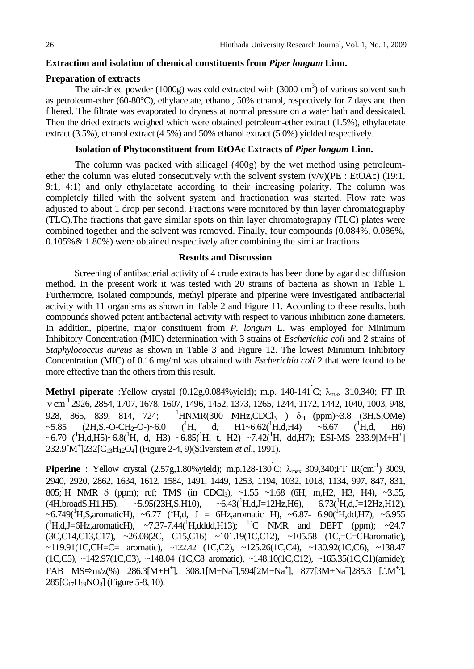## **Extraction and isolation of chemical constituents from** *Piper longum* **Linn.**

## **Preparation of extracts**

The air-dried powder  $(1000g)$  was cold extracted with  $(3000 \text{ cm}^3)$  of various solvent such as petroleum-ether (60-80°C), ethylacetate, ethanol, 50% ethanol, respectively for 7 days and then filtered. The filtrate was evaporated to dryness at normal pressure on a water bath and dessicated. Then the dried extracts weighed which were obtained petroleum-ether extract (1.5%), ethylacetate extract (3.5%), ethanol extract (4.5%) and 50% ethanol extract (5.0%) yielded respectively.

# **Isolation of Phytoconstituent from EtOAc Extracts of** *Piper longum* **Linn.**

The column was packed with silicagel (400g) by the wet method using petroleumether the column was eluted consecutively with the solvent system  $(v/v)(PE : EtoAc)$  (19:1, 9:1, 4:1) and only ethylacetate according to their increasing polarity. The column was completely filled with the solvent system and fractionation was started. Flow rate was adjusted to about 1 drop per second. Fractions were monitored by thin layer chromatography (TLC).The fractions that gave similar spots on thin layer chromatography (TLC) plates were combined together and the solvent was removed. Finally, four compounds (0.084%, 0.086%, 0.105%& 1.80%) were obtained respectively after combining the similar fractions.

# **Results and Discussion**

Screening of antibacterial activity of 4 crude extracts has been done by agar disc diffusion method. In the present work it was tested with 20 strains of bacteria as shown in Table 1. Furthermore, isolated compounds, methyl piperate and piperine were investigated antibacterial activity with 11 organisms as shown in Table 2 and Figure 11. According to these results, both compounds showed potent antibacterial activity with respect to various inhibition zone diameters. In addition, piperine, major constituent from *P. longum* L. was employed for Minimum Inhibitory Concentration (MIC) determination with 3 strains of *Escherichia coli* and 2 strains of *Staphylococcus aureus* as shown in Table 3 and Figure 12. The lowest Minimum Inhibitory Concentration (MIC) of 0.16 mg/ml was obtained with *Escherichia coli* 2 that were found to be more effective than the others from this result.

**Methyl piperate** :Yellow crystal (0.12g,0.084%yield); m.p. 140-141 C; λ<sub>max</sub> 310,340; FT IR v cm<sup>-1</sup> 2926, 2854, 1707, 1678, 1607, 1496, 1452, 1373, 1265, 1244, 1172, 1442, 1040, 1003, 948, 928, 865, 839, 814, 724; <sup>1</sup>  ${}^{1}$ HNMR(300 MHz,CDCl<sub>3</sub>)  $\delta_{H}$  (ppm)~3.8 (3H,S,OMe)  $\sim$ 5.85 (2H,S,-O-CH<sub>2</sub>-O-)~6.0 (<sup>1</sup>H, H, d, H1~6.62( $^1$ H,d,H4) ~6.67 ( $^1$  $(^1H.d.$  H6) ~6.70  $(^1H,d,H5)$ ~6.8( $^1H, d, H3$ ) ~6.85( $^1H, t, H2$ ) ~7.42( $^1H, dd,H7$ ); ESI-MS 233.9[M+H<sup>+</sup>] 232.9[M+ ]232[C13H12O4] (Figure 2-4, 9)(Silverstein *et al*., 1991).

**Piperine** : Yellow crystal (2.57g, 1.80% yield); m.p.128-130 C;  $\lambda_{\text{max}}$  309, 340; FT IR(cm<sup>-1</sup>) 3009, 2940, 2920, 2862, 1634, 1612, 1584, 1491, 1449, 1253, 1194, 1032, 1018, 1134, 997, 847, 831, 805;<sup>1</sup>H NMR  $\delta$  (ppm); ref; TMS (in CDCl<sub>3</sub>), ~1.55 ~1.68 (6H, m, H2, H3, H4), ~3.55,  $(4H, broad S, H1, H5), \sim$  5.95(23H, S, H10),  $\sim 6.43(^1H,d,J=12Hz,H6)$ ,  $6.73(^1H,d,J=12Hz,H12)$ , ~6.749( ${}^{1}$ H,S,aromaticH), ~6.77 ( ${}^{1}$ H,d, J = 6Hz,aromatic H), ~6.87- 6.90( ${}^{1}$ H,dd,H7), ~6.955  $({}^{1}H,d,J=6Hz,aromatic H)$ , ~7.37-7.44( ${}^{1}H,dddd, H13$ );  ${}^{13}C$  NMR and DEPT (ppm); ~24.7 (3C,C14,C13,C17), ~26.08(2C, C15,C16) ~101.19(1C,C12), ~105.58 (1C,=C=CHaromatic), ~119.91(1C,CH=C= aromatic), ~122.42 (1C,C2), ~125.26(1C,C4), ~130.92(1C,C6), ~138.47 (1C,C5), ~142.97(1C,C3), ~148.04 (1C,C8 aromatic), ~148.10(1C,C12), ~165.35(1C,C1)(amide); FAB MS<sup>⇒</sup>m/z(%) 286.3[M+H<sup>+</sup>], 308.1[M+Na<sup>+</sup>],594[2M+Na<sup>+</sup>], 877[3M+Na<sup>+</sup>]285.3 [∴M<sup>+</sup>],  $285[C_{17}H_{19}NO_3]$  (Figure 5-8, 10).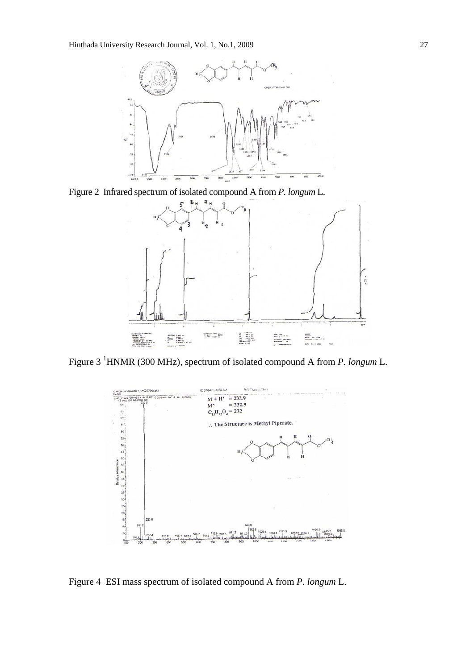

Figure 2 Infrared spectrum of isolated compound A from *P. longum* L.



Figure 3 1 HNMR (300 MHz), spectrum of isolated compound A from *P. longum* L.



Figure 4 ESI mass spectrum of isolated compound A from *P*. *longum* L.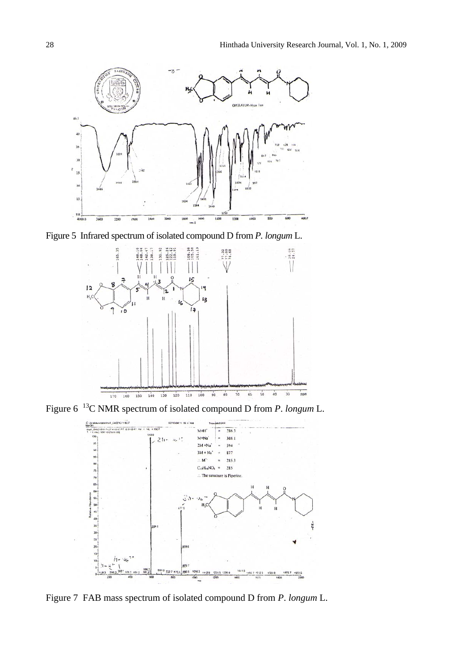

Figure 5 Infrared spectrum of isolated compound D from *P. longum* L.



Figure 6 13C NMR spectrum of isolated compound D from *P*. *longum* L.



Figure 7 FAB mass spectrum of isolated compound D from *P*. *longum* L.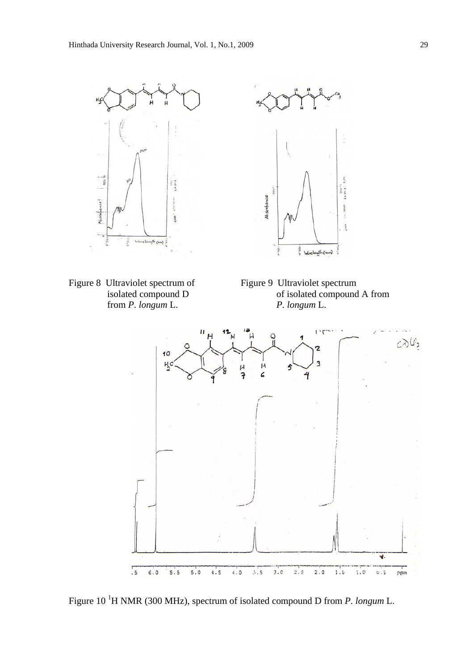





of isolated compound A from



Figure 10<sup>1</sup>H NMR (300 MHz), spectrum of isolated compound D from *P. longum* L.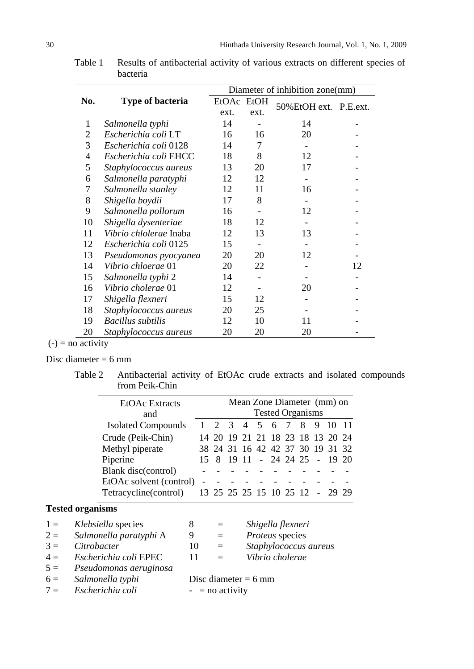|                |                          | Diameter of inhibition zone(mm) |      |                       |    |  |  |
|----------------|--------------------------|---------------------------------|------|-----------------------|----|--|--|
| No.            | <b>Type of bacteria</b>  | EtOAc EtOH                      |      | 50%EtOH ext. P.E.ext. |    |  |  |
|                |                          | ext.                            | ext. |                       |    |  |  |
| 1              | Salmonella typhi         | 14                              |      | 14                    |    |  |  |
| 2              | Escherichia coli LT      | 16                              | 16   | 20                    |    |  |  |
| 3              | Escherichia coli 0128    | 14                              | 7    |                       |    |  |  |
| $\overline{4}$ | Escherichia coli EHCC    | 18                              | 8    | 12                    |    |  |  |
| 5              | Staphylococcus aureus    | 13                              | 20   | 17                    |    |  |  |
| 6              | Salmonella paratyphi     | 12                              | 12   |                       |    |  |  |
| 7              | Salmonella stanley       | 12                              | 11   | 16                    |    |  |  |
| 8              | Shigella boydii          | 17                              | 8    |                       |    |  |  |
| 9              | Salmonella pollorum      | 16                              |      | 12                    |    |  |  |
| 10             | Shigella dysenteriae     | 18                              | 12   |                       |    |  |  |
| 11             | Vibrio chlolerae Inaba   | 12                              | 13   | 13                    |    |  |  |
| 12             | Escherichia coli 0125    | 15                              |      |                       |    |  |  |
| 13             | Pseudomonas pyocyanea    | 20                              | 20   | 12                    |    |  |  |
| 14             | Vibrio chloerae 01       | 20                              | 22   |                       | 12 |  |  |
| 15             | Salmonella typhi 2       | 14                              |      |                       |    |  |  |
| 16             | Vibrio cholerae 01       | 12                              |      | 20                    |    |  |  |
| 17             | Shigella flexneri        | 15                              | 12   |                       |    |  |  |
| 18             | Staphylococcus aureus    | 20                              | 25   |                       |    |  |  |
| 19             | <b>Bacillus</b> subtilis | 12                              | 10   | 11                    |    |  |  |
| 20             | Staphylococcus aureus    | 20                              | 20   | 20                    |    |  |  |

Table 1 Results of antibacterial activity of various extracts on different species of bacteria

# $(-)$  = no activity

# Disc diameter  $= 6$  mm

Table 2 Antibacterial activity of EtOAc crude extracts and isolated compounds from Peik-Chin

| <b>EtOAc</b> Extracts     |     |                |       |                         |    | Mean Zone Diameter (mm) on       |  |
|---------------------------|-----|----------------|-------|-------------------------|----|----------------------------------|--|
| and                       |     |                |       | <b>Tested Organisms</b> |    |                                  |  |
| <b>Isolated Compounds</b> | 2 3 | $\overline{4}$ | 5 6 7 | - 8                     | -9 |                                  |  |
| Crude (Peik-Chin)         |     |                |       |                         |    | 14 20 19 21 21 18 23 18 13 20 24 |  |
| Methyl piperate           |     |                |       |                         |    | 38 24 31 16 42 42 37 30 19 31 32 |  |
| Piperine                  |     |                |       |                         |    | 15 8 19 11 - 24 24 25 - 19 20    |  |
| Blank disc(control)       |     |                |       |                         |    |                                  |  |
| EtOAc solvent (control)   |     |                |       |                         |    |                                  |  |
| Tetracycline(control)     |     |                |       |                         |    | 13 25 25 25 15 10 25 12 - 29 29  |  |
| <b>Tested organisms</b>   |     |                |       |                         |    |                                  |  |

| $1 =$ | Klebsiella species     | 8                      | $=$      | Shigella flexneri     |
|-------|------------------------|------------------------|----------|-----------------------|
| $2 =$ | Salmonella paratyphi A | 9                      | $=$      | Proteus species       |
| $3 =$ | Citrobacter            | 10                     | $\equiv$ | Staphylococcus aureus |
| $4 =$ | Escherichia coli EPEC  | 11                     | $=$      | Vibrio cholerae       |
| $5 =$ | Pseudomonas aeruginosa |                        |          |                       |
| $6 =$ | Salmonella typhi       | Disc diameter $= 6$ mm |          |                       |
| $7 =$ | Escherichia coli       | $-$ = no activity      |          |                       |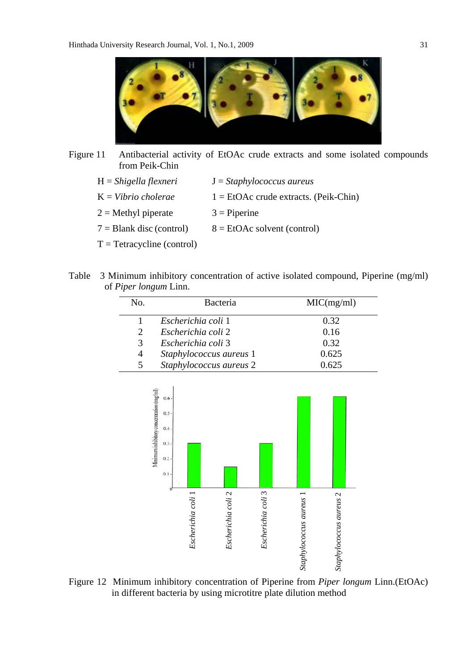

- Figure 11 Antibacterial activity of EtOAc crude extracts and some isolated compounds from Peik-Chin
	- H = *Shigella flexneri* J = *Staphylococcus aureus*
	- $K = *Vibrio cholerae*$  1 = EtOAc crude extracts. (Peik-Chin)
	- $2 =$ Methyl piperate  $3 =$ Piperine
	- $7 =$ Blank disc (control)  $8 =$  EtOAc solvent (control)
	- $T = Tetracycline (control)$
- Table 3 Minimum inhibitory concentration of active isolated compound, Piperine (mg/ml) of *Piper longum* Linn.

| No.                         | <b>Bacteria</b>         | MIC(mg/ml) |
|-----------------------------|-------------------------|------------|
|                             | Escherichia coli 1      | 0.32       |
| $\mathcal{D}_{\mathcal{L}}$ | Escherichia coli 2      | 0.16       |
| 3                           | Escherichia coli 3      | 0.32       |
| 4                           | Staphylococcus aureus 1 | 0.625      |
| 5                           | Staphylococcus aureus 2 | 0.625      |



Figure 12 Minimum inhibitory concentration of Piperine from *Piper longum* Linn.(EtOAc)